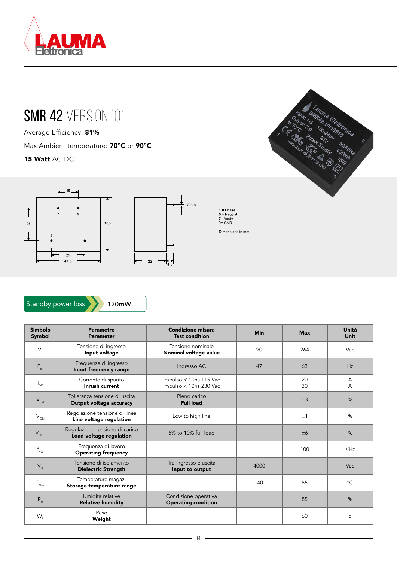

## SMR 42 VERSION "0"

Average Efficiency: 81%

Max Ambient temperature: **70°C** or **90°C** 

15 Watt AC-DC



Standby power loss

120mW

| Simbolo<br>Symbol | Parametro<br><b>Parameter</b>                             | <b>Condizione misura</b><br><b>Test condition</b>  | <b>Min</b> | <b>Max</b> | Unità<br><b>Unit</b> |
|-------------------|-----------------------------------------------------------|----------------------------------------------------|------------|------------|----------------------|
| $V_{1}$           | Tensione di ingresso<br>Input voltage                     | Tensione nominale<br>Nominal voltage value         | 90         | 264        | Vac                  |
| $F_{\text{IN}}$   | Frequenza di ingresso<br>Input frequency range            | Ingresso AC                                        | 47         | 63         | Hz                   |
| $I_{SP}$          | Corrente di spunto<br>Inrush current                      | Impulso < 10ns 115 Vac<br>Impulso < 10ns 230 Vac   |            | 20<br>30   | A<br>A               |
| $V_{OA}$          | Tolleranza tensione di uscita<br>Output voltage accuracy  | Pieno carico<br><b>Full load</b>                   |            | ±3         | %                    |
| $V_{OL}$          | Regolazione tensione di linea<br>Line voltage regulation  | Low to high line                                   |            | ±1         | %                    |
| $V_{OLO}$         | Regolazione tensione di carico<br>Load voltage regulation | 5% to 10% full load                                |            | ±6         | %                    |
| $f_{SW}$          | Frequenza di lavoro<br><b>Operating frequency</b>         |                                                    |            | 100        | <b>KHz</b>           |
| $V_{\text{IS}}$   | Tensione di isolamento<br><b>Dielectric Strength</b>      | Tra ingresso e uscita<br>Input to output           | 4000       |            | Vac                  |
| $T_{\text{Mag}}$  | Temperature magaz.<br>Storage temperature range           |                                                    | $-40$      | 85         | $^{\circ}C$          |
| $R_{\rm H}$       | Umidità relative<br><b>Relative humidity</b>              | Condizione operativa<br><b>Operating condition</b> |            | 85         | %                    |
| $W_F$             | Peso<br>Weight                                            |                                                    |            | 60         | g                    |



7= Vout+ 9= GNDDimensions in mm